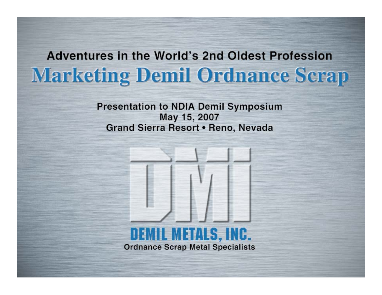## **Adventures in the World's 2nd Oldest Profession Marketing Demil Ordnance Scrap**

**Presentation to NDIA Demil Symposium** May 15, 2007 Grand Sierra Resort . Reno, Nevada

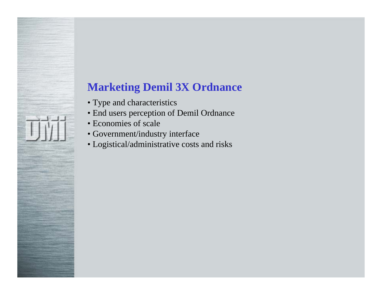## **Marketing Demil 3X Ordnance**

- Type and characteristics
- End users perception of Demil Ordnance
- Economies of scale
- Government/industry interface
- Logistical/administrative costs and risks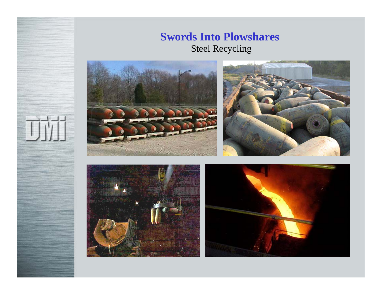#### **Swords Into Plowshares** Steel Recycling





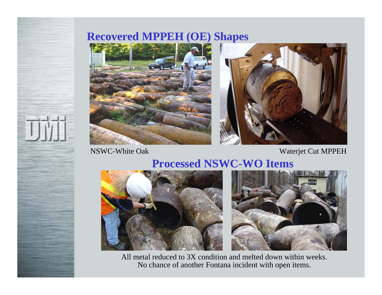#### **Recovered MPPEH (OE) Shapes**



NSWC-White Oak

Waterjet Cut MPPEH

#### **Processed NSWC-WO Items**





All metal reduced to 3X condition and melted down within weeks. No chance of another Fontana incident with open items.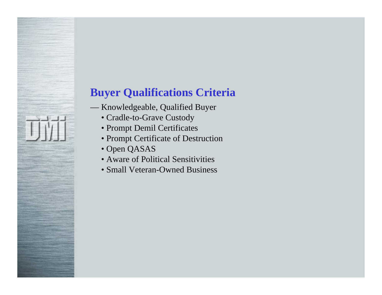## **Buyer Qualifications Criteria**

- Knowledgeable, Qualified Buyer
	- Cradle-to-Grave Custody
	- Prompt Demil Certificates
	- Prompt Certificate of Destruction
	- Open QASAS
	- Aware of Political Sensitivities
	- Small Veteran-Owned Business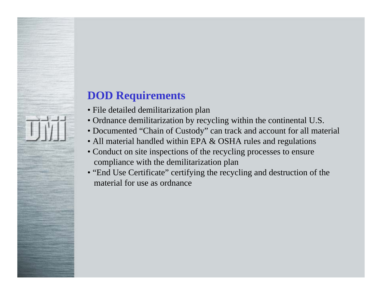## **DOD Requirements**

- File detailed demilitarization plan
- Ordnance demilitarization by recycling within the continental U.S.
- Documented "Chain of Custody" can track and account for all material
- All material handled within EPA & OSHA rules and regulations
- Conduct on site inspections of the recycling processes to ensure compliance with the demilitarization plan
- "End Use Certificate" certifying the recycling and destruction of the material for use as ordnance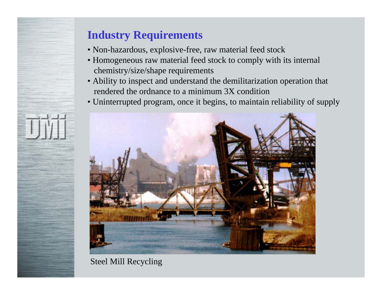## **Industry Requirements**

- Non-hazardous, explosive-free, raw material feed stock
- Homogeneous raw material feed stock to comply with its internal chemistry/size/shape requirements
- Ability to inspect and understand the demilitarization operation that rendered the ordnance to a minimum 3X condition
- Uninterrupted program, once it begins, to maintain reliability of supply



#### Steel Mill Recycling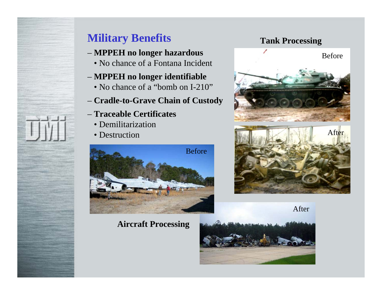## **Military Benefits**

#### – **MPPEH no longer hazardous**

• No chance of a Fontana Incident

#### – **MPPEH no longer identifiable**

- No chance of a "bomb on I-210"
- **Cradle-to-Grave Chain of Custody**
- **Traceable Certificates**
	- Demilitarization
	- Destruction



#### **Aircraft Processing**

#### **Tank Processing**





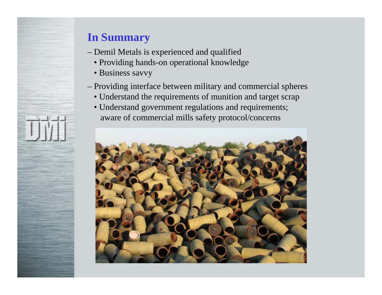## **In Summary**

- Demil Metals is experienced and qualified
	- Providing hands-on operational knowledge
	- Business savvy
- Providing interface between military and commercial spheres
	- Understand the requirements of munition and target scrap
	- Understand government regulations and requirements; aware of commercial mills safety protocol/concerns

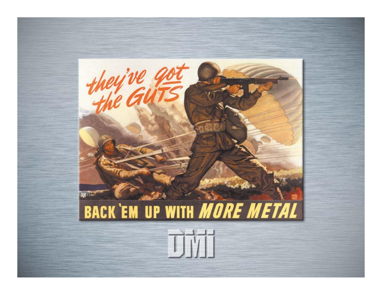